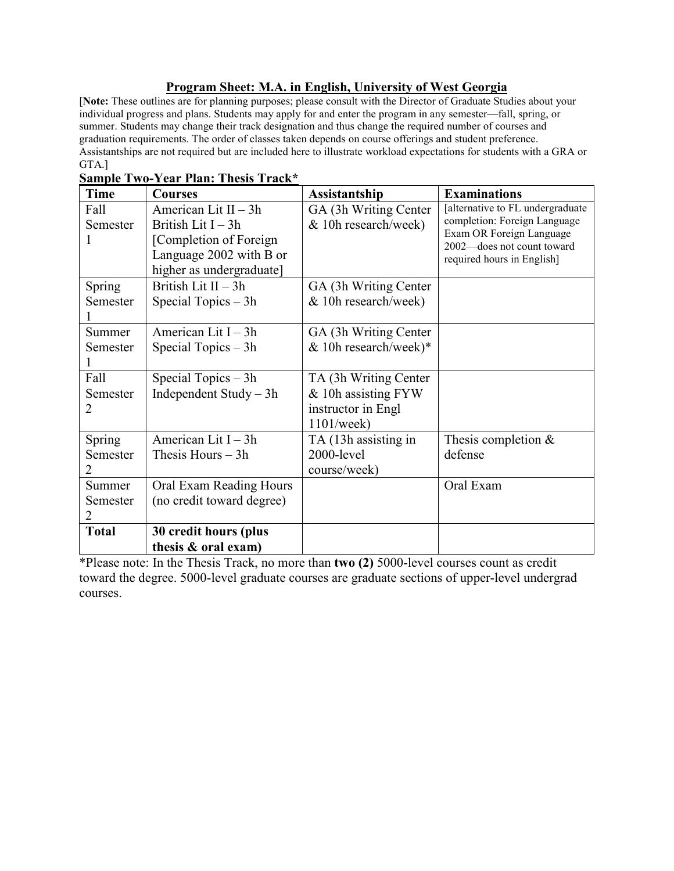## **Program Sheet: M.A. in English, University of West Georgia**

[**Note:** These outlines are for planning purposes; please consult with the Director of Graduate Studies about your individual progress and plans. Students may apply for and enter the program in any semester—fall, spring, or summer. Students may change their track designation and thus change the required number of courses and graduation requirements. The order of classes taken depends on course offerings and student preference. Assistantships are not required but are included here to illustrate workload expectations for students with a GRA or GTA.]

| <b>Time</b>             | <b>Courses</b>                                                                                                                   | Assistantship                                                                           | <b>Examinations</b>                                                                                                                                      |
|-------------------------|----------------------------------------------------------------------------------------------------------------------------------|-----------------------------------------------------------------------------------------|----------------------------------------------------------------------------------------------------------------------------------------------------------|
| Fall<br>Semester        | American Lit $II - 3h$<br>British Lit $I - 3h$<br>[Completion of Foreign]<br>Language 2002 with B or<br>higher as undergraduate] | GA (3h Writing Center)<br>& 10h research/week)                                          | [alternative to FL undergraduate<br>completion: Foreign Language<br>Exam OR Foreign Language<br>2002-does not count toward<br>required hours in English] |
| Spring<br>Semester      | British Lit II - 3h<br>Special Topics $-3h$                                                                                      | GA (3h Writing Center)<br>& 10h research/week)                                          |                                                                                                                                                          |
| Summer<br>Semester      | American Lit $I - 3h$<br>Special Topics $-3h$                                                                                    | GA (3h Writing Center)<br>& 10h research/week)*                                         |                                                                                                                                                          |
| Fall<br>Semester<br>2   | Special Topics $-3h$<br>Independent Study $-3h$                                                                                  | TA (3h Writing Center)<br>& 10h assisting FYW<br>instructor in Engl<br>$1101/$ week $)$ |                                                                                                                                                          |
| Spring<br>Semester<br>2 | American Lit I - 3h<br>Thesis Hours $-3h$                                                                                        | TA (13h assisting in<br>2000-level<br>course/week)                                      | Thesis completion &<br>defense                                                                                                                           |
| Summer<br>Semester      | Oral Exam Reading Hours<br>(no credit toward degree)                                                                             |                                                                                         | Oral Exam                                                                                                                                                |
| <b>Total</b>            | 30 credit hours (plus<br>thesis & oral exam)                                                                                     |                                                                                         |                                                                                                                                                          |

**Sample Two-Year Plan: Thesis Track\***

\*Please note: In the Thesis Track, no more than **two (2)** 5000-level courses count as credit toward the degree. 5000-level graduate courses are graduate sections of upper-level undergrad courses.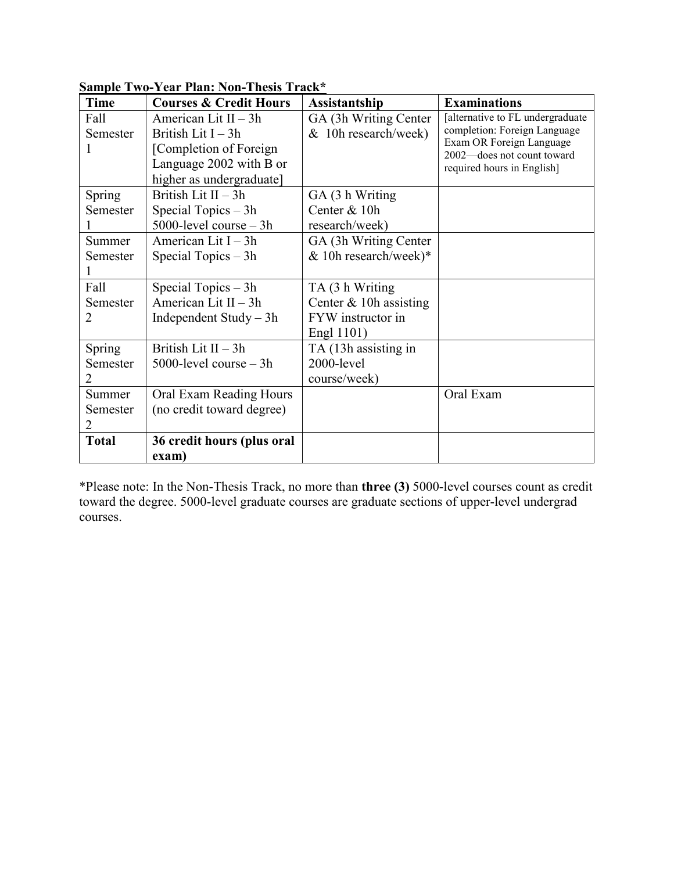| <b>Time</b>  | <b>Courses &amp; Credit Hours</b> | Assistantship            | <b>Examinations</b>                                    |
|--------------|-----------------------------------|--------------------------|--------------------------------------------------------|
| Fall         | American Lit $II - 3h$            | GA (3h Writing Center)   | [alternative to FL undergraduate                       |
| Semester     | British Lit $I - 3h$              | & 10h research/week)     | completion: Foreign Language                           |
|              | [Completion of Foreign]           |                          | Exam OR Foreign Language<br>2002-does not count toward |
|              | Language 2002 with B or           |                          | required hours in English]                             |
|              | higher as undergraduate]          |                          |                                                        |
| Spring       | British Lit $II - 3h$             | GA (3 h Writing)         |                                                        |
| Semester     | Special Topics $-3h$              | Center & 10h             |                                                        |
|              | $5000$ -level course $-3h$        | research/week)           |                                                        |
| Summer       | American Lit I - 3h               | GA (3h Writing Center    |                                                        |
| Semester     | Special Topics $-3h$              | & 10h research/week)*    |                                                        |
|              |                                   |                          |                                                        |
| Fall         | Special Topics $-3h$              | TA (3 h Writing          |                                                        |
| Semester     | American Lit II - 3h              | Center $& 10h$ assisting |                                                        |
| 2            | Independent Study $-3h$           | FYW instructor in        |                                                        |
|              |                                   | Engl 1101)               |                                                        |
| Spring       | British Lit $II - 3h$             | TA (13h assisting in     |                                                        |
| Semester     | $5000$ -level course $-3h$        | 2000-level               |                                                        |
| 2            |                                   | course/week)             |                                                        |
| Summer       | Oral Exam Reading Hours           |                          | Oral Exam                                              |
| Semester     | (no credit toward degree)         |                          |                                                        |
|              |                                   |                          |                                                        |
| <b>Total</b> | 36 credit hours (plus oral        |                          |                                                        |
|              | exam)                             |                          |                                                        |

**Sample Two-Year Plan: Non-Thesis Track\***

\*Please note: In the Non-Thesis Track, no more than **three (3)** 5000-level courses count as credit toward the degree. 5000-level graduate courses are graduate sections of upper-level undergrad courses.